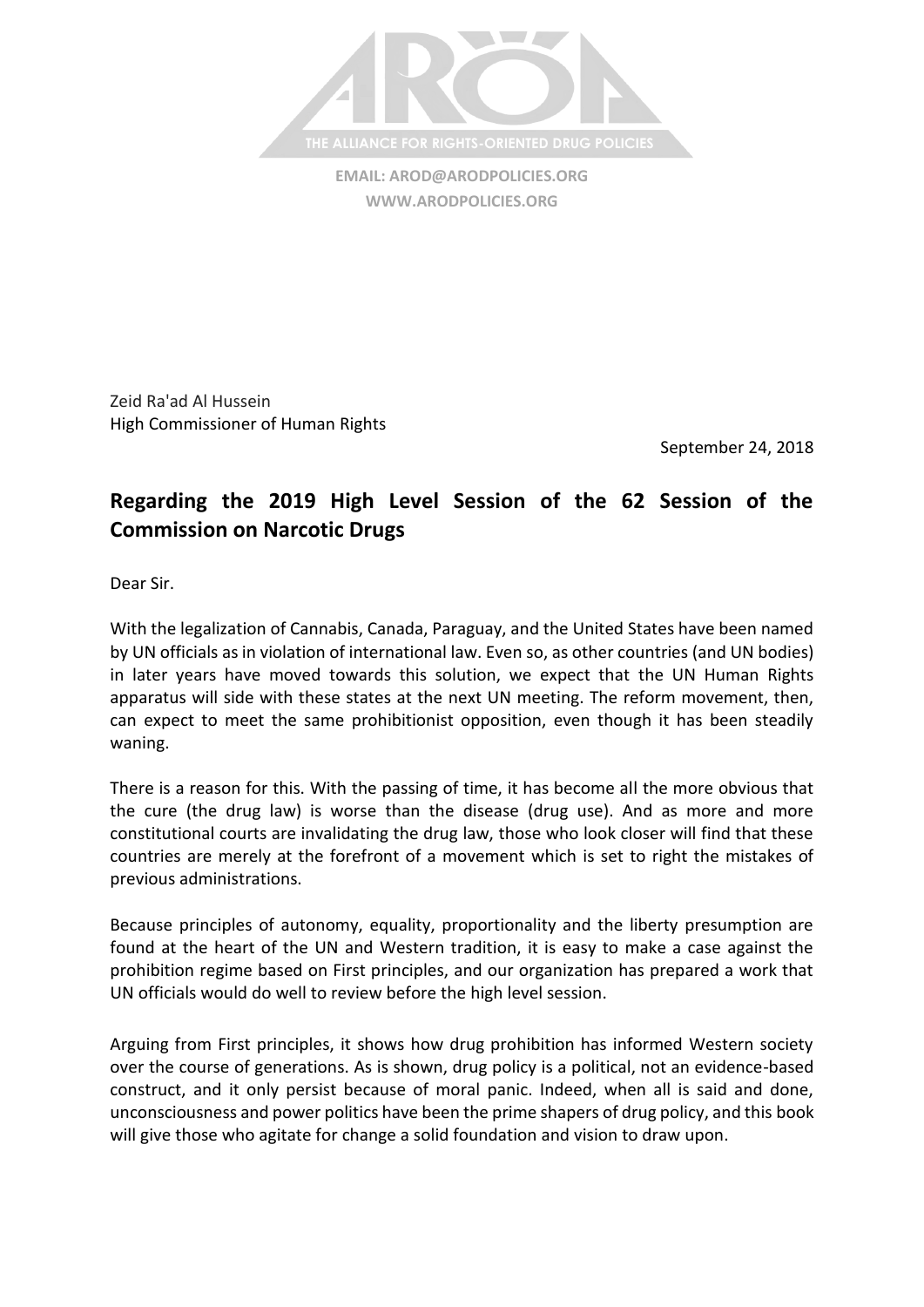

**EMAIL: [AROD@ARODPOLICIES.ORG](mailto:AROD@ARODPOLICIES.ORG) [WWW.ARODPOLICIES.ORG](http://www.arodpolicies.org/)**

Zeid Ra'ad Al Hussein High Commissioner of Human Rights

September 24, 2018

## **Regarding the 2019 High Level Session of the 62 Session of the Commission on Narcotic Drugs**

Dear Sir.

With the legalization of Cannabis, Canada, Paraguay, and the United States have been named by UN officials as in violation of international law. Even so, as other countries (and UN bodies) in later years have moved towards this solution, we expect that the UN Human Rights apparatus will side with these states at the next UN meeting. The reform movement, then, can expect to meet the same prohibitionist opposition, even though it has been steadily waning.

There is a reason for this. With the passing of time, it has become all the more obvious that the cure (the drug law) is worse than the disease (drug use). And as more and more constitutional courts are invalidating the drug law, those who look closer will find that these countries are merely at the forefront of a movement which is set to right the mistakes of previous administrations.

Because principles of autonomy, equality, proportionality and the liberty presumption are found at the heart of the UN and Western tradition, it is easy to make a case against the prohibition regime based on First principles, and our organization has prepared a work that UN officials would do well to review before the high level session.

Arguing from First principles, it shows how drug prohibition has informed Western society over the course of generations. As is shown, drug policy is a political, not an evidence-based construct, and it only persist because of moral panic. Indeed, when all is said and done, unconsciousness and power politics have been the prime shapers of drug policy, and this book will give those who agitate for change a solid foundation and vision to draw upon.